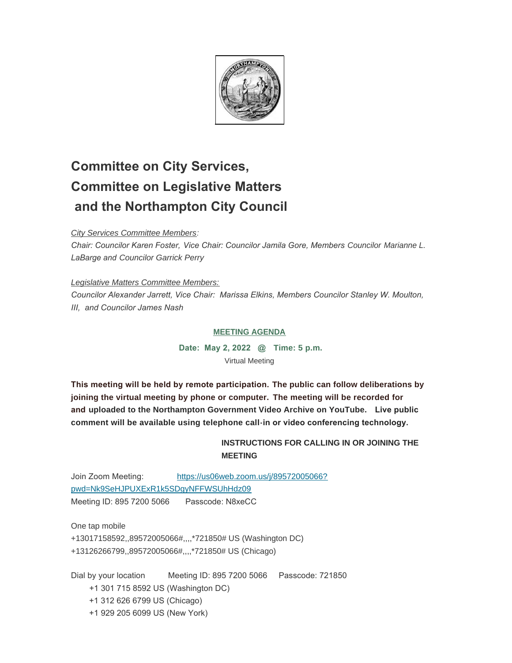

# **Committee on City Services, Committee on Legislative Matters and the Northampton City Council**

*City Services Committee Members:*

*Chair: Councilor Karen Foster, Vice Chair: Councilor Jamila Gore, Members Councilor Marianne L. LaBarge and Councilor Garrick Perry*

*Legislative Matters Committee Members: Councilor Alexander Jarrett, Vice Chair: Marissa Elkins, Members Councilor Stanley W. Moulton, III, and Councilor James Nash*

# **MEETING AGENDA**

**Date: May 2, 2022 @ Time: 5 p.m.** Virtual Meeting

**This meeting will be held by remote participation. The public can follow deliberations by joining the virtual meeting by phone or computer. The meeting will be recorded for and uploaded to the Northampton Government Video Archive on YouTube. Live public comment will be available using telephone call-in or video conferencing technology.** 

# **INSTRUCTIONS FOR CALLING IN OR JOINING THE MEETING**

Join Zoom Meeting: [https://us06web.zoom.us/j/89572005066?](https://us06web.zoom.us/j/89572005066?pwd=Nk9SeHJPUXExR1k5SDgyNFFWSUhHdz09) pwd=Nk9SeHJPUXExR1k5SDgyNFFWSUhHdz09 Meeting ID: 895 7200 5066 Passcode: N8xeCC

One tap mobile +13017158592,,89572005066#,,,,\*721850# US (Washington DC) +13126266799,,89572005066#,,,,\*721850# US (Chicago)

Dial by your location Meeting ID: 895 7200 5066 Passcode: 721850 +1 301 715 8592 US (Washington DC) +1 312 626 6799 US (Chicago) +1 929 205 6099 US (New York)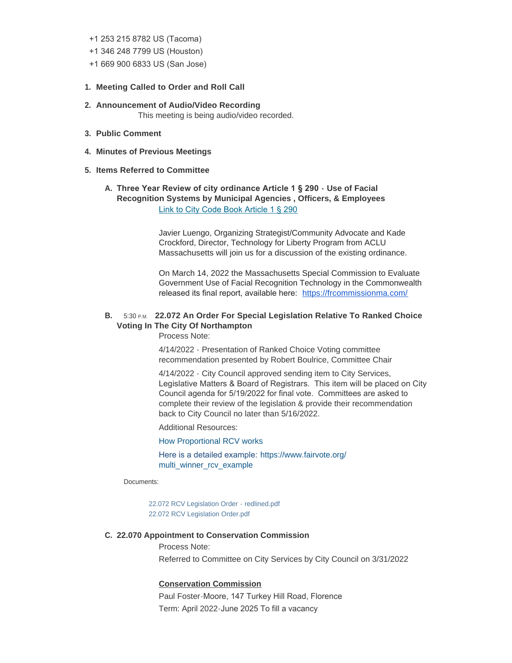#### +1 253 215 8782 US (Tacoma)

- +1 346 248 7799 US (Houston)
- +1 669 900 6833 US (San Jose)

#### **Meeting Called to Order and Roll Call 1.**

- **Announcement of Audio/Video Recording 2.** This meeting is being audio/video recorded.
- **Public Comment 3.**
- **Minutes of Previous Meetings 4.**

### **Items Referred to Committee 5.**

## **Three Year Review of city ordinance Article 1 § 290 - Use of Facial A. Recognition Systems by Municipal Agencies , Officers, & Employees** [Link to City Code Book Article 1 § 290](https://ecode360.com/13265223)

Javier Luengo, Organizing Strategist/Community Advocate and Kade Crockford, Director, Technology for Liberty Program from ACLU Massachusetts will join us for a discussion of the existing ordinance.

On March 14, 2022 the Massachusetts Special Commission to Evaluate Government Use of Facial Recognition Technology in the Commonwealth released its final report, available here: <https://frcommissionma.com/>

## **B.** 5:30 P.M. 22.072 An Order For Special Legislation Relative To Ranked Choice **Voting In The City Of Northampton**

Process Note:

4/14/2022 - Presentation of Ranked Choice Voting committee recommendation presented by Robert Boulrice, Committee Chair

4/14/2022 - City Council approved sending item to City Services, Legislative Matters & Board of Registrars. This item will be placed on City Council agenda for 5/19/2022 for final vote. Committees are asked to complete their review of the legislation & provide their recommendation back to City Council no later than 5/16/2022.

Additional Resources:

[How Proportional RCV works](https://www.fairvote.org/prcv#how_prcv_works)

Here is a detailed example: [https://www.fairvote.org/](https://www.fairvote.org/multi_winner_rcv_example) multi\_winner\_rcv\_example

Documents:

[22.072 RCV Legislation Order - redlined.pdf](https://northamptonma.gov/AgendaCenter/ViewFile/Item/19076?fileID=165695) [22.072 RCV Legislation Order.pdf](https://northamptonma.gov/AgendaCenter/ViewFile/Item/19076?fileID=165696)

#### **22.070 Appointment to Conservation Commission C.**

Process Note:

Referred to Committee on City Services by City Council on 3/31/2022

## **Conservation Commission**

Paul Foster-Moore, 147 Turkey Hill Road, Florence Term: April 2022-June 2025 To fill a vacancy